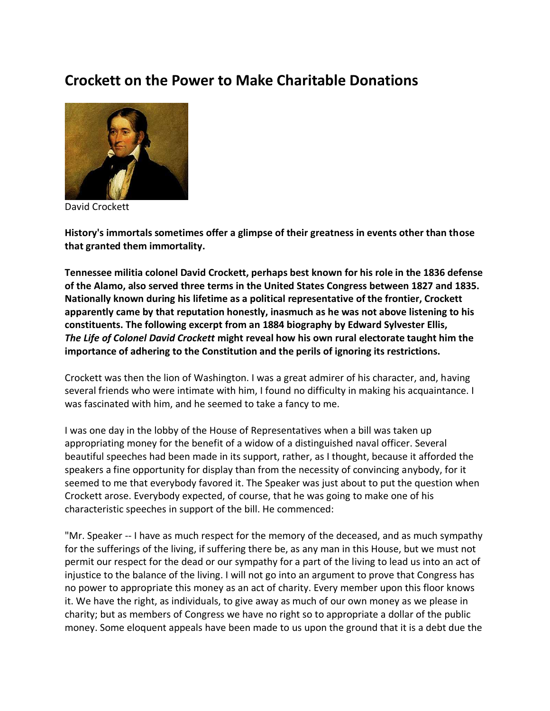## **Crockett on the Power to Make Charitable Donations**



David Crockett

**History's immortals sometimes offer a glimpse of their greatness in events other than those that granted them immortality.**

**Tennessee militia colonel David Crockett, perhaps best known for his role in the 1836 defense of the Alamo, also served three terms in the United States Congress between 1827 and 1835. Nationally known during his lifetime as a political representative of the frontier, Crockett apparently came by that reputation honestly, inasmuch as he was not above listening to his constituents. The following excerpt from an 1884 biography by Edward Sylvester Ellis,** *The Life of Colonel David Crockett* **might reveal how his own rural electorate taught him the importance of adhering to the Constitution and the perils of ignoring its restrictions.**

Crockett was then the lion of Washington. I was a great admirer of his character, and, having several friends who were intimate with him, I found no difficulty in making his acquaintance. I was fascinated with him, and he seemed to take a fancy to me.

I was one day in the lobby of the House of Representatives when a bill was taken up appropriating money for the benefit of a widow of a distinguished naval officer. Several beautiful speeches had been made in its support, rather, as I thought, because it afforded the speakers a fine opportunity for display than from the necessity of convincing anybody, for it seemed to me that everybody favored it. The Speaker was just about to put the question when Crockett arose. Everybody expected, of course, that he was going to make one of his characteristic speeches in support of the bill. He commenced:

"Mr. Speaker -- I have as much respect for the memory of the deceased, and as much sympathy for the sufferings of the living, if suffering there be, as any man in this House, but we must not permit our respect for the dead or our sympathy for a part of the living to lead us into an act of injustice to the balance of the living. I will not go into an argument to prove that Congress has no power to appropriate this money as an act of charity. Every member upon this floor knows it. We have the right, as individuals, to give away as much of our own money as we please in charity; but as members of Congress we have no right so to appropriate a dollar of the public money. Some eloquent appeals have been made to us upon the ground that it is a debt due the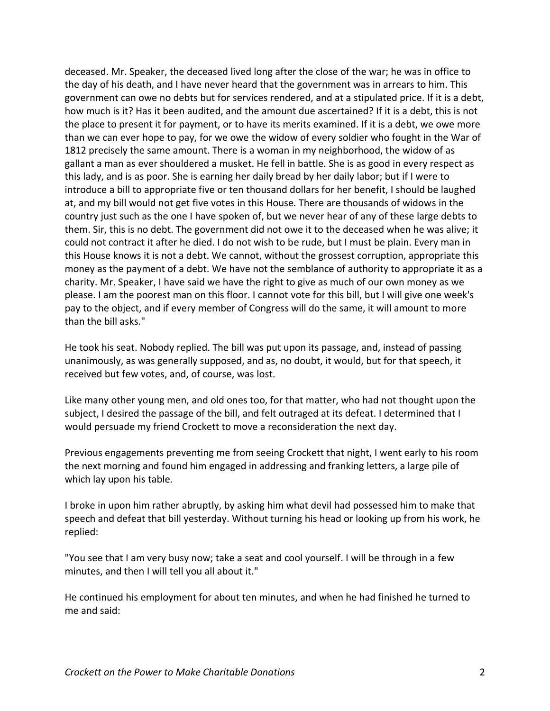deceased. Mr. Speaker, the deceased lived long after the close of the war; he was in office to the day of his death, and I have never heard that the government was in arrears to him. This government can owe no debts but for services rendered, and at a stipulated price. If it is a debt, how much is it? Has it been audited, and the amount due ascertained? If it is a debt, this is not the place to present it for payment, or to have its merits examined. If it is a debt, we owe more than we can ever hope to pay, for we owe the widow of every soldier who fought in the War of 1812 precisely the same amount. There is a woman in my neighborhood, the widow of as gallant a man as ever shouldered a musket. He fell in battle. She is as good in every respect as this lady, and is as poor. She is earning her daily bread by her daily labor; but if I were to introduce a bill to appropriate five or ten thousand dollars for her benefit, I should be laughed at, and my bill would not get five votes in this House. There are thousands of widows in the country just such as the one I have spoken of, but we never hear of any of these large debts to them. Sir, this is no debt. The government did not owe it to the deceased when he was alive; it could not contract it after he died. I do not wish to be rude, but I must be plain. Every man in this House knows it is not a debt. We cannot, without the grossest corruption, appropriate this money as the payment of a debt. We have not the semblance of authority to appropriate it as a charity. Mr. Speaker, I have said we have the right to give as much of our own money as we please. I am the poorest man on this floor. I cannot vote for this bill, but I will give one week's pay to the object, and if every member of Congress will do the same, it will amount to more than the bill asks."

He took his seat. Nobody replied. The bill was put upon its passage, and, instead of passing unanimously, as was generally supposed, and as, no doubt, it would, but for that speech, it received but few votes, and, of course, was lost.

Like many other young men, and old ones too, for that matter, who had not thought upon the subject, I desired the passage of the bill, and felt outraged at its defeat. I determined that I would persuade my friend Crockett to move a reconsideration the next day.

Previous engagements preventing me from seeing Crockett that night, I went early to his room the next morning and found him engaged in addressing and franking letters, a large pile of which lay upon his table.

I broke in upon him rather abruptly, by asking him what devil had possessed him to make that speech and defeat that bill yesterday. Without turning his head or looking up from his work, he replied:

"You see that I am very busy now; take a seat and cool yourself. I will be through in a few minutes, and then I will tell you all about it."

He continued his employment for about ten minutes, and when he had finished he turned to me and said: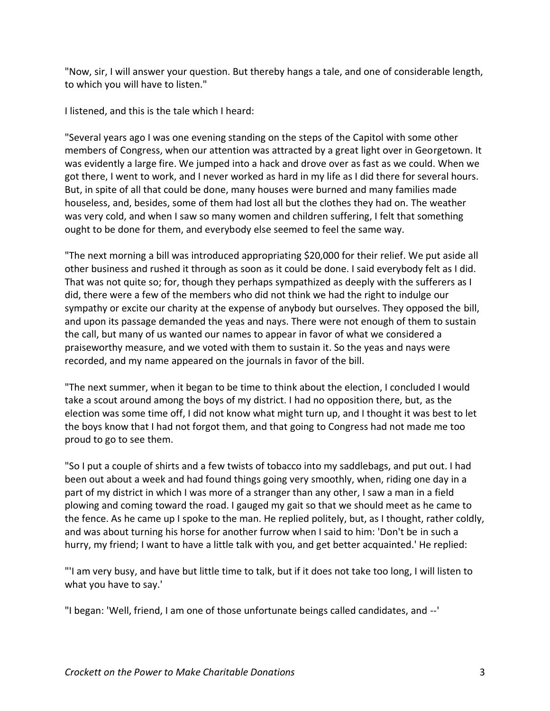"Now, sir, I will answer your question. But thereby hangs a tale, and one of considerable length, to which you will have to listen."

I listened, and this is the tale which I heard:

"Several years ago I was one evening standing on the steps of the Capitol with some other members of Congress, when our attention was attracted by a great light over in Georgetown. It was evidently a large fire. We jumped into a hack and drove over as fast as we could. When we got there, I went to work, and I never worked as hard in my life as I did there for several hours. But, in spite of all that could be done, many houses were burned and many families made houseless, and, besides, some of them had lost all but the clothes they had on. The weather was very cold, and when I saw so many women and children suffering, I felt that something ought to be done for them, and everybody else seemed to feel the same way.

"The next morning a bill was introduced appropriating \$20,000 for their relief. We put aside all other business and rushed it through as soon as it could be done. I said everybody felt as I did. That was not quite so; for, though they perhaps sympathized as deeply with the sufferers as I did, there were a few of the members who did not think we had the right to indulge our sympathy or excite our charity at the expense of anybody but ourselves. They opposed the bill, and upon its passage demanded the yeas and nays. There were not enough of them to sustain the call, but many of us wanted our names to appear in favor of what we considered a praiseworthy measure, and we voted with them to sustain it. So the yeas and nays were recorded, and my name appeared on the journals in favor of the bill.

"The next summer, when it began to be time to think about the election, I concluded I would take a scout around among the boys of my district. I had no opposition there, but, as the election was some time off, I did not know what might turn up, and I thought it was best to let the boys know that I had not forgot them, and that going to Congress had not made me too proud to go to see them.

"So I put a couple of shirts and a few twists of tobacco into my saddlebags, and put out. I had been out about a week and had found things going very smoothly, when, riding one day in a part of my district in which I was more of a stranger than any other, I saw a man in a field plowing and coming toward the road. I gauged my gait so that we should meet as he came to the fence. As he came up I spoke to the man. He replied politely, but, as I thought, rather coldly, and was about turning his horse for another furrow when I said to him: 'Don't be in such a hurry, my friend; I want to have a little talk with you, and get better acquainted.' He replied:

"'I am very busy, and have but little time to talk, but if it does not take too long, I will listen to what you have to say.'

"I began: 'Well, friend, I am one of those unfortunate beings called candidates, and --'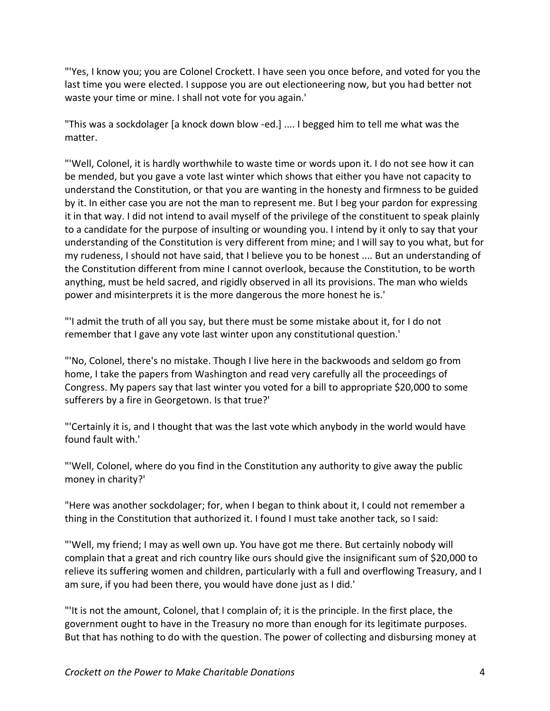"'Yes, I know you; you are Colonel Crockett. I have seen you once before, and voted for you the last time you were elected. I suppose you are out electioneering now, but you had better not waste your time or mine. I shall not vote for you again.'

"This was a sockdolager [a knock down blow -ed.] .... I begged him to tell me what was the matter.

"'Well, Colonel, it is hardly worthwhile to waste time or words upon it. I do not see how it can be mended, but you gave a vote last winter which shows that either you have not capacity to understand the Constitution, or that you are wanting in the honesty and firmness to be guided by it. In either case you are not the man to represent me. But I beg your pardon for expressing it in that way. I did not intend to avail myself of the privilege of the constituent to speak plainly to a candidate for the purpose of insulting or wounding you. I intend by it only to say that your understanding of the Constitution is very different from mine; and I will say to you what, but for my rudeness, I should not have said, that I believe you to be honest .... But an understanding of the Constitution different from mine I cannot overlook, because the Constitution, to be worth anything, must be held sacred, and rigidly observed in all its provisions. The man who wields power and misinterprets it is the more dangerous the more honest he is.'

"'I admit the truth of all you say, but there must be some mistake about it, for I do not remember that I gave any vote last winter upon any constitutional question.'

"'No, Colonel, there's no mistake. Though I live here in the backwoods and seldom go from home, I take the papers from Washington and read very carefully all the proceedings of Congress. My papers say that last winter you voted for a bill to appropriate \$20,000 to some sufferers by a fire in Georgetown. Is that true?'

"'Certainly it is, and I thought that was the last vote which anybody in the world would have found fault with.'

"'Well, Colonel, where do you find in the Constitution any authority to give away the public money in charity?'

"Here was another sockdolager; for, when I began to think about it, I could not remember a thing in the Constitution that authorized it. I found I must take another tack, so I said:

"'Well, my friend; I may as well own up. You have got me there. But certainly nobody will complain that a great and rich country like ours should give the insignificant sum of \$20,000 to relieve its suffering women and children, particularly with a full and overflowing Treasury, and I am sure, if you had been there, you would have done just as I did.'

"'It is not the amount, Colonel, that I complain of; it is the principle. In the first place, the government ought to have in the Treasury no more than enough for its legitimate purposes. But that has nothing to do with the question. The power of collecting and disbursing money at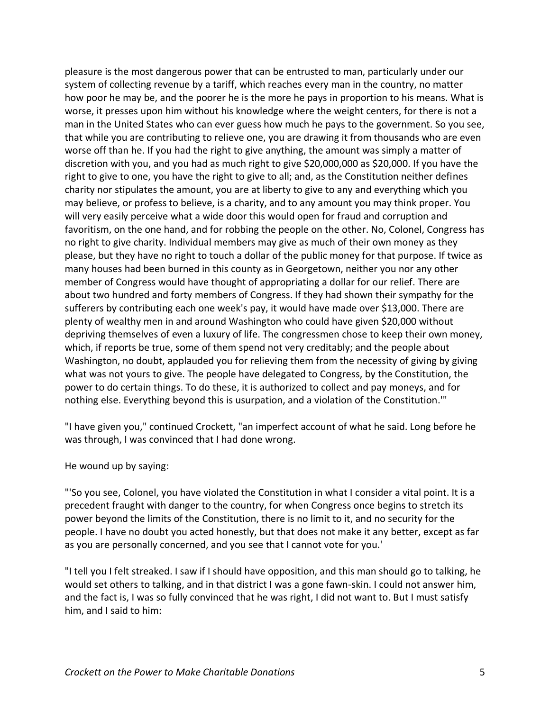pleasure is the most dangerous power that can be entrusted to man, particularly under our system of collecting revenue by a tariff, which reaches every man in the country, no matter how poor he may be, and the poorer he is the more he pays in proportion to his means. What is worse, it presses upon him without his knowledge where the weight centers, for there is not a man in the United States who can ever guess how much he pays to the government. So you see, that while you are contributing to relieve one, you are drawing it from thousands who are even worse off than he. If you had the right to give anything, the amount was simply a matter of discretion with you, and you had as much right to give \$20,000,000 as \$20,000. If you have the right to give to one, you have the right to give to all; and, as the Constitution neither defines charity nor stipulates the amount, you are at liberty to give to any and everything which you may believe, or profess to believe, is a charity, and to any amount you may think proper. You will very easily perceive what a wide door this would open for fraud and corruption and favoritism, on the one hand, and for robbing the people on the other. No, Colonel, Congress has no right to give charity. Individual members may give as much of their own money as they please, but they have no right to touch a dollar of the public money for that purpose. If twice as many houses had been burned in this county as in Georgetown, neither you nor any other member of Congress would have thought of appropriating a dollar for our relief. There are about two hundred and forty members of Congress. If they had shown their sympathy for the sufferers by contributing each one week's pay, it would have made over \$13,000. There are plenty of wealthy men in and around Washington who could have given \$20,000 without depriving themselves of even a luxury of life. The congressmen chose to keep their own money, which, if reports be true, some of them spend not very creditably; and the people about Washington, no doubt, applauded you for relieving them from the necessity of giving by giving what was not yours to give. The people have delegated to Congress, by the Constitution, the power to do certain things. To do these, it is authorized to collect and pay moneys, and for nothing else. Everything beyond this is usurpation, and a violation of the Constitution.'"

"I have given you," continued Crockett, "an imperfect account of what he said. Long before he was through, I was convinced that I had done wrong.

He wound up by saying:

"'So you see, Colonel, you have violated the Constitution in what I consider a vital point. It is a precedent fraught with danger to the country, for when Congress once begins to stretch its power beyond the limits of the Constitution, there is no limit to it, and no security for the people. I have no doubt you acted honestly, but that does not make it any better, except as far as you are personally concerned, and you see that I cannot vote for you.'

"I tell you I felt streaked. I saw if I should have opposition, and this man should go to talking, he would set others to talking, and in that district I was a gone fawn-skin. I could not answer him, and the fact is, I was so fully convinced that he was right, I did not want to. But I must satisfy him, and I said to him: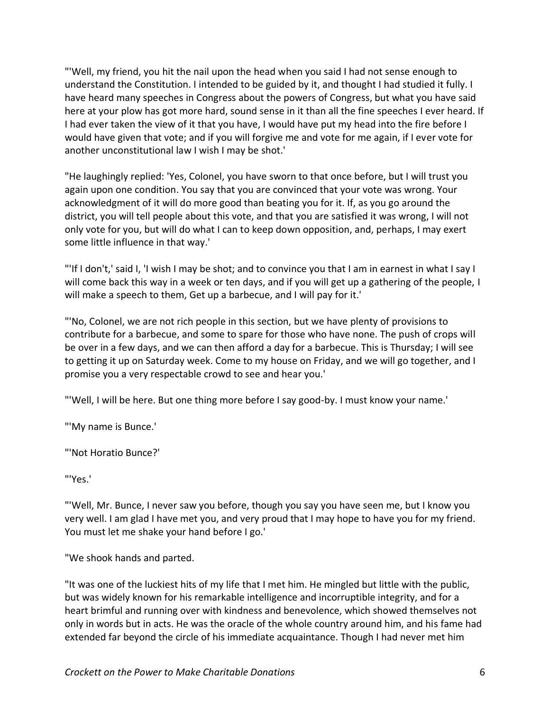"'Well, my friend, you hit the nail upon the head when you said I had not sense enough to understand the Constitution. I intended to be guided by it, and thought I had studied it fully. I have heard many speeches in Congress about the powers of Congress, but what you have said here at your plow has got more hard, sound sense in it than all the fine speeches I ever heard. If I had ever taken the view of it that you have, I would have put my head into the fire before I would have given that vote; and if you will forgive me and vote for me again, if I ever vote for another unconstitutional law I wish I may be shot.'

"He laughingly replied: 'Yes, Colonel, you have sworn to that once before, but I will trust you again upon one condition. You say that you are convinced that your vote was wrong. Your acknowledgment of it will do more good than beating you for it. If, as you go around the district, you will tell people about this vote, and that you are satisfied it was wrong, I will not only vote for you, but will do what I can to keep down opposition, and, perhaps, I may exert some little influence in that way.'

"'If I don't,' said I, 'I wish I may be shot; and to convince you that I am in earnest in what I say I will come back this way in a week or ten days, and if you will get up a gathering of the people, I will make a speech to them, Get up a barbecue, and I will pay for it.'

"'No, Colonel, we are not rich people in this section, but we have plenty of provisions to contribute for a barbecue, and some to spare for those who have none. The push of crops will be over in a few days, and we can then afford a day for a barbecue. This is Thursday; I will see to getting it up on Saturday week. Come to my house on Friday, and we will go together, and I promise you a very respectable crowd to see and hear you.'

"'Well, I will be here. But one thing more before I say good-by. I must know your name.'

"'My name is Bunce.'

"'Not Horatio Bunce?'

"'Yes.'

"'Well, Mr. Bunce, I never saw you before, though you say you have seen me, but I know you very well. I am glad I have met you, and very proud that I may hope to have you for my friend. You must let me shake your hand before I go.'

"We shook hands and parted.

"It was one of the luckiest hits of my life that I met him. He mingled but little with the public, but was widely known for his remarkable intelligence and incorruptible integrity, and for a heart brimful and running over with kindness and benevolence, which showed themselves not only in words but in acts. He was the oracle of the whole country around him, and his fame had extended far beyond the circle of his immediate acquaintance. Though I had never met him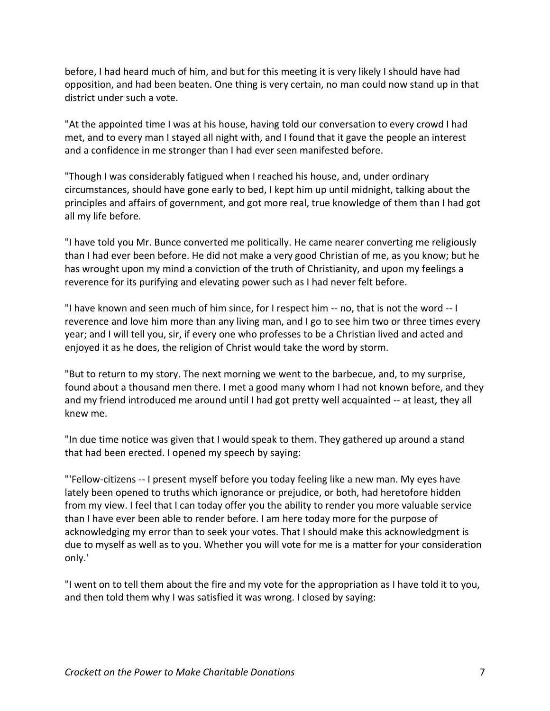before, I had heard much of him, and but for this meeting it is very likely I should have had opposition, and had been beaten. One thing is very certain, no man could now stand up in that district under such a vote.

"At the appointed time I was at his house, having told our conversation to every crowd I had met, and to every man I stayed all night with, and I found that it gave the people an interest and a confidence in me stronger than I had ever seen manifested before.

"Though I was considerably fatigued when I reached his house, and, under ordinary circumstances, should have gone early to bed, I kept him up until midnight, talking about the principles and affairs of government, and got more real, true knowledge of them than I had got all my life before.

"I have told you Mr. Bunce converted me politically. He came nearer converting me religiously than I had ever been before. He did not make a very good Christian of me, as you know; but he has wrought upon my mind a conviction of the truth of Christianity, and upon my feelings a reverence for its purifying and elevating power such as I had never felt before.

"I have known and seen much of him since, for I respect him -- no, that is not the word -- I reverence and love him more than any living man, and I go to see him two or three times every year; and I will tell you, sir, if every one who professes to be a Christian lived and acted and enjoyed it as he does, the religion of Christ would take the word by storm.

"But to return to my story. The next morning we went to the barbecue, and, to my surprise, found about a thousand men there. I met a good many whom I had not known before, and they and my friend introduced me around until I had got pretty well acquainted -- at least, they all knew me.

"In due time notice was given that I would speak to them. They gathered up around a stand that had been erected. I opened my speech by saying:

"'Fellow-citizens -- I present myself before you today feeling like a new man. My eyes have lately been opened to truths which ignorance or prejudice, or both, had heretofore hidden from my view. I feel that I can today offer you the ability to render you more valuable service than I have ever been able to render before. I am here today more for the purpose of acknowledging my error than to seek your votes. That I should make this acknowledgment is due to myself as well as to you. Whether you will vote for me is a matter for your consideration only.'

"I went on to tell them about the fire and my vote for the appropriation as I have told it to you, and then told them why I was satisfied it was wrong. I closed by saying: